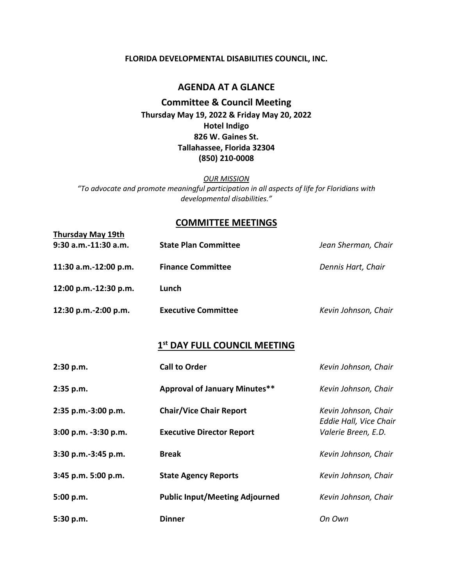#### **FLORIDA DEVELOPMENTAL DISABILITIES COUNCIL, INC.**

### **AGENDA AT A GLANCE**

**Committee & Council Meeting Thursday May 19, 2022 & Friday May 20, 2022 Hotel Indigo 826 W. Gaines St. Tallahassee, Florida 32304 (850) 210-0008**

*OUR MISSION*

*"To advocate and promote meaningful participation in all aspects of life for Floridians with developmental disabilities."*

### **COMMITTEE MEETINGS**

| <b>Thursday May 19th</b> |                             |                      |
|--------------------------|-----------------------------|----------------------|
| $9:30$ a.m.-11:30 a.m.   | <b>State Plan Committee</b> | Jean Sherman, Chair  |
| 11:30 a.m.-12:00 p.m.    | <b>Finance Committee</b>    | Dennis Hart, Chair   |
| 12:00 p.m.-12:30 p.m.    | Lunch                       |                      |
| 12:30 p.m.-2:00 p.m.     | <b>Executive Committee</b>  | Kevin Johnson, Chair |

# **1 st DAY FULL COUNCIL MEETING**

| 2:30 p.m.            | <b>Call to Order</b>                  | Kevin Johnson, Chair                           |
|----------------------|---------------------------------------|------------------------------------------------|
| 2:35 p.m.            | <b>Approval of January Minutes**</b>  | Kevin Johnson, Chair                           |
| 2:35 p.m.-3:00 p.m.  | <b>Chair/Vice Chair Report</b>        | Kevin Johnson, Chair<br>Eddie Hall, Vice Chair |
| 3:00 p.m. -3:30 p.m. | <b>Executive Director Report</b>      | Valerie Breen, E.D.                            |
| 3:30 p.m.-3:45 p.m.  | <b>Break</b>                          | Kevin Johnson, Chair                           |
| 3:45 p.m. 5:00 p.m.  | <b>State Agency Reports</b>           | Kevin Johnson, Chair                           |
| 5:00 p.m.            | <b>Public Input/Meeting Adjourned</b> | Kevin Johnson, Chair                           |
| 5:30 p.m.            | <b>Dinner</b>                         | On Own                                         |